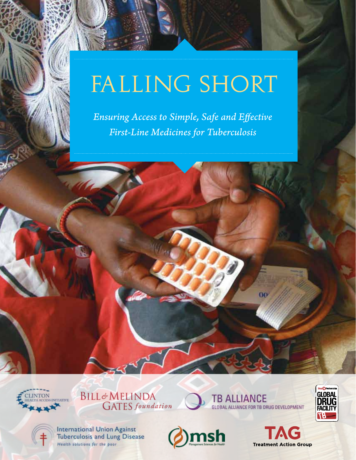# FALLING SHORT

*Ensuring Access to Simple, Safe and Effective First-Line Medicines for Tuberculosis*





TB ALLIANCE<br>GLOBAL ALLIANCE FOR TB DRUG DEVELOPMENT

 $00$ 



**International Union Against Tuberculosis and Lung Disease** Health solutions for the poor



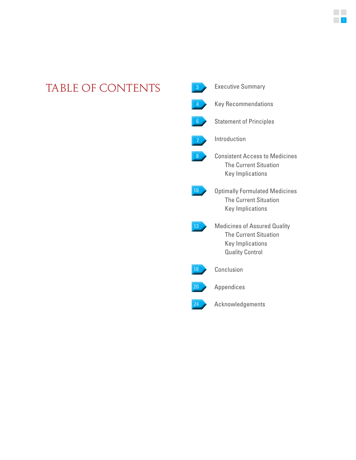## TABLE OF CONTENTS **3**

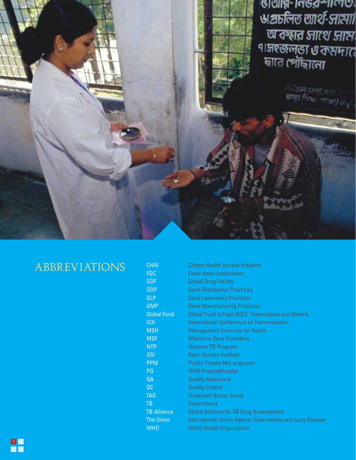

## **ABBREVIATIONS**

| <b>CHAI</b>        | <b>Clinton Health Access Initiative</b>                          |
|--------------------|------------------------------------------------------------------|
| FDC                | <b>Fixed-dose combination</b>                                    |
| <b>GDF</b>         | <b>Global Drug Facility</b>                                      |
| <b>GDP</b>         | <b>Good Distribution Practices</b>                               |
| GLP                | <b>Good Laboratory Practices</b>                                 |
| <b>GMP</b>         | <b>Good Manufacturing Practices</b>                              |
| <b>Global Fund</b> | Global Fund to Fight AIDS, Tuberculosis and Malaria              |
| <b>ICH</b>         | <b>International Conference on Harmonisation</b>                 |
| <b>MSH</b>         | <b>Management Sciences for Health</b>                            |
| <b>MSF</b>         | Médecins Sans Frontières                                         |
| <b>NTP</b>         | <b>National TB Program</b>                                       |
| <b>OSI</b>         | <b>Open Society Institute</b>                                    |
| <b>PPM</b>         | <b>Public-Private Mix programs</b>                               |
| PQ                 | <b>WHO Prequalification</b>                                      |
| <b>QA</b>          | <b>Quality Assurance</b>                                         |
| OC                 | <b>Quality Control</b>                                           |
| <b>TAG</b>         | <b>Treatment Action Group</b>                                    |
| TB                 | <b>Tuberculosis</b>                                              |
| <b>TB Alliance</b> | <b>Global Alliance for TB Drug Development</b>                   |
| <b>The Union</b>   | <b>International Union Against Tuberculosis and Lung Disease</b> |
| <b>WHO</b>         | <b>World Health Organization</b>                                 |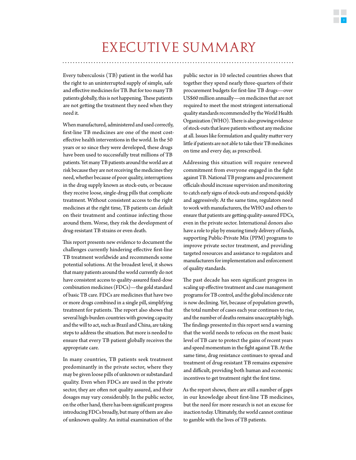## EXECUTIVE SUMMARY

Every tuberculosis (TB) patient in the world has the right to an uninterrupted supply of simple, safe and effective medicines for TB. But for too many TB patients globally, this is not happening. These patients are not getting the treatment they need when they need it.

When manufactured, administered and used correctly, first-line TB medicines are one of the most costeffective health interventions in the world. In the 50 years or so since they were developed, these drugs have been used to successfully treat millions of TB patients. Yet many TB patients around the world are at risk because they are not receiving the medicines they need, whether because of poor quality, interruptions in the drug supply known as stock-outs, or because they receive loose, single-drug pills that complicate treatment. Without consistent access to the right medicines at the right time, TB patients can default on their treatment and continue infecting those around them. Worse, they risk the development of drug-resistant TB strains or even death.

This report presents new evidence to document the challenges currently hindering effective first-line TB treatment worldwide and recommends some potential solutions. At the broadest level, it shows that many patients around the world currently do not have consistent access to quality-assured fixed-dose combination medicines (FDCs)—the gold standard of basic TB care. FDCs are medicines that have two or more drugs combined in a single pill, simplifying treatment for patients. The report also shows that several high-burden countries with growing capacity and the will to act, such as Brazil and China, are taking steps to address the situation. But more is needed to ensure that every TB patient globally receives the appropriate care.

In many countries, TB patients seek treatment predominantly in the private sector, where they may be given loose pills of unknown or substandard quality. Even when FDCs are used in the private sector, they are often not quality assured, and their dosages may vary considerably. In the public sector, on the other hand, there has been significant progress introducing FDCs broadly, but many of them are also of unknown quality. An initial examination of the

public sector in 10 selected countries shows that together they spend nearly three-quarters of their procurement budgets for first-line TB drugs—over US\$60 million annually—on medicines that are not required to meet the most stringent international quality standards recommended by the World Health Organization (WHO). There is also growing evidence of stock-outs that leave patients without any medicine at all. Issues like formulation and quality matter very little if patients are not able to take their TB medicines on time and every day, as prescribed.

Addressing this situation will require renewed commitment from everyone engaged in the fight against TB. National TB programs and procurement officials should increase supervision and monitoring to catch early signs of stock-outs and respond quickly and aggressively. At the same time, regulators need to work with manufacturers, the WHO and others to ensure that patients are getting quality-assured FDCs, even in the private sector. International donors also have a role to play by ensuring timely delivery of funds, supporting Public-Private Mix (PPM) programs to improve private sector treatment, and providing targeted resources and assistance to regulators and manufacturers for implementation and enforcement of quality standards.

The past decade has seen significant progress in scaling up effective treatment and case management programs for TB control, and the global incidence rate is now declining. Yet, because of population growth, the total number of cases each year continues to rise, and the number of deaths remains unacceptably high. The findings presented in this report send a warning that the world needs to refocus on the most basic level of TB care to protect the gains of recent years and speed momentum in the fight against TB. At the same time, drug resistance continues to spread and treatment of drug-resistant TB remains expensive and difficult, providing both human and economic incentives to get treatment right the first time.

As the report shows, there are still a number of gaps in our knowledge about first-line TB medicines, but the need for more research is not an excuse for inaction today. Ultimately, the world cannot continue to gamble with the lives of TB patients.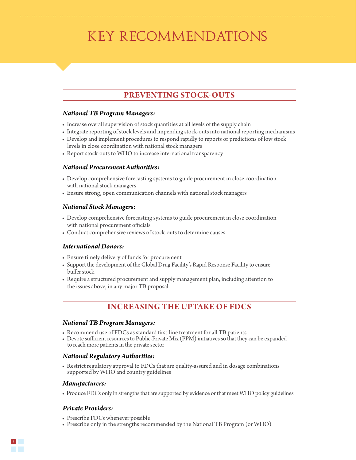## KEY RECOMMENDATIONS

### **Preventing Stock-outs**

#### *National TB Program Managers:*

- Increase overall supervision of stock quantities at all levels of the supply chain
- Integrate reporting of stock levels and impending stock-outs into national reporting mechanisms
- Develop and implement procedures to respond rapidly to reports or predictions of low stock levels in close coordination with national stock managers
- Report stock-outs to WHO to increase international transparency

#### *National Procurement Authorities:*

- Develop comprehensive forecasting systems to guide procurement in close coordination with national stock managers
- Ensure strong, open communication channels with national stock managers

#### *National Stock Managers:*

- Develop comprehensive forecasting systems to guide procurement in close coordination with national procurement officials
- Conduct comprehensive reviews of stock-outs to determine causes

#### *International Donors:*

- Ensure timely delivery of funds for procurement
- Support the development of the Global Drug Facility's Rapid Response Facility to ensure buffer stock
- Require a structured procurement and supply management plan, including attention to the issues above, in any major TB proposal

### **Increasing the Uptake of FDCs**

#### *National TB Program Managers:*

- Recommend use of FDCs as standard first-line treatment for all TB patients
- Devote sufficient resources to Public-Private Mix (PPM) initiatives so that they can be expanded to reach more patients in the private sector

#### *National Regulatory Authorities:*

• Restrict regulatory approval to FDCs that are quality-assured and in dosage combinations supported by WHO and country guidelines

#### *Manufacturers:*

• Produce FDCs only in strengths that are supported by evidence or that meet WHO policy guidelines

#### *Private Providers:*

- Prescribe FDCs whenever possible
- Prescribe only in the strengths recommended by the National TB Program (or WHO)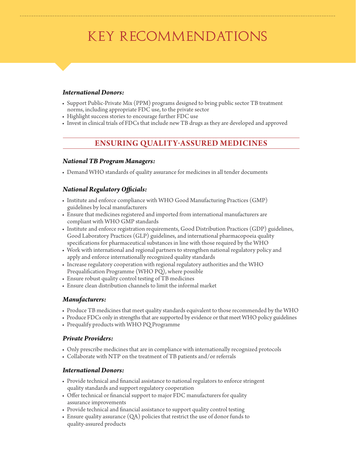## KEY RECOMMENDATIONS

#### *International Donors:*

- Support Public-Private Mix (PPM) programs designed to bring public sector TB treatment norms, including appropriate FDC use, to the private sector
- Highlight success stories to encourage further FDC use
- Invest in clinical trials of FDCs that include new TB drugs as they are developed and approved

### **Ensuring Quality-assured Medicines**

#### *National TB Program Managers:*

• Demand WHO standards of quality assurance for medicines in all tender documents

#### *National Regulatory Officials:*

- Institute and enforce compliance with WHO Good Manufacturing Practices (GMP) guidelines by local manufacturers
- Ensure that medicines registered and imported from international manufacturers are compliant with WHO GMP standards
- Institute and enforce registration requirements, Good Distribution Practices (GDP) guidelines, Good Laboratory Practices (GLP) guidelines, and international pharmacopoeia quality specifications for pharmaceutical substances in line with those required by the WHO
- Work with international and regional partners to strengthen national regulatory policy and apply and enforce internationally recognized quality standards
- Increase regulatory cooperation with regional regulatory authorities and the WHO Prequalification Programme (WHO PQ), where possible
- Ensure robust quality control testing of TB medicines
- Ensure clean distribution channels to limit the informal market

#### *Manufacturers:*

- Produce TB medicines that meet quality standards equivalent to those recommended by the WHO
- Produce FDCs only in strengths that are supported by evidence or that meet WHO policy guidelines
- Prequalify products with WHO PQ Programme

#### *Private Providers:*

- Only prescribe medicines that are in compliance with internationally recognized protocols
- Collaborate with NTP on the treatment of TB patients and/or referrals

#### *International Donors:*

- Provide technical and financial assistance to national regulators to enforce stringent quality standards and support regulatory cooperation
- Offer technical or financial support to major FDC manufacturers for quality assurance improvements
- Provide technical and financial assistance to support quality control testing
- Ensure quality assurance  $(QA)$  policies that restrict the use of donor funds to quality-assured products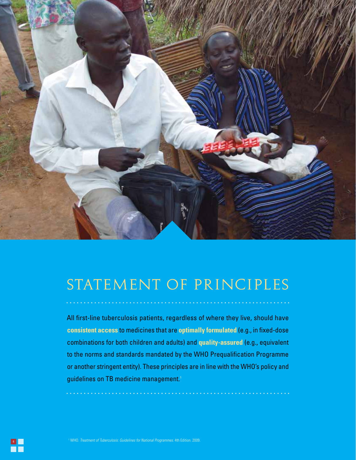

## STATEMENT OF PRINCIPLES

All first-line tuberculosis patients, regardless of where they live, should have **consistent access** to medicines that are **optimally formulated** (e.g., in fixed-dose combinations for both children and adults) and **quality-assured** (e.g., equivalent to the norms and standards mandated by the WHO Prequalification Programme or another stringent entity). These principles are in line with the WHO's policy and guidelines on TB medicine management.<sup>1</sup>

. . . . . . . . . .

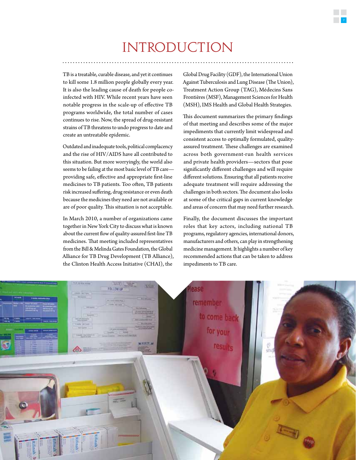## INTRODUCTION

TB is a treatable, curable disease, and yet it continues to kill some 1.8 million people globally every year. It is also the leading cause of death for people coinfected with HIV. While recent years have seen notable progress in the scale-up of effective TB programs worldwide, the total number of cases continues to rise. Now, the spread of drug-resistant strains of TB threatens to undo progress to date and create an untreatable epidemic.

Outdated and inadequate tools, political complacency and the rise of HIV/AIDS have all contributed to this situation. But more worryingly, the world also seems to be failing at the most basic level of TB care providing safe, effective and appropriate first-line medicines to TB patients. Too often, TB patients risk increased suffering, drug resistance or even death because the medicines they need are not available or are of poor quality. This situation is not acceptable.

In March 2010, a number of organizations came together in New York City to discuss what is known about the current flow of quality-assured first-line TB medicines. That meeting included representatives from the Bill & Melinda Gates Foundation, the Global Alliance for TB Drug Development (TB Alliance), the Clinton Health Access Initiative (CHAI), the

Global Drug Facility (GDF), the International Union Against Tuberculosis and Lung Disease (The Union), Treatment Action Group (TAG), Médecins Sans Frontières (MSF), Management Sciences for Health (MSH), IMS Health and Global Health Strategies.

This document summarizes the primary findings of that meeting and describes some of the major impediments that currently limit widespread and consistent access to optimally formulated, qualityassured treatment. These challenges are examined across both government-run health services and private health providers—sectors that pose significantly different challenges and will require different solutions. Ensuring that all patients receive adequate treatment will require addressing the challenges in both sectors. The document also looks at some of the critical gaps in current knowledge and areas of concern that may need further research.

Finally, the document discusses the important roles that key actors, including national TB programs, regulatory agencies, international donors, manufacturers and others, can play in strengthening medicine management. It highlights a number of key recommended actions that can be taken to address impediments to TB care.

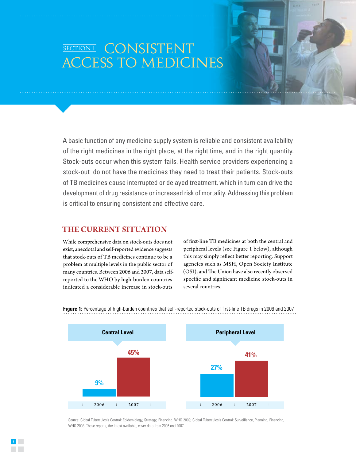## SECTION I CONSISTENT ACCESS TO MEDICINES

A basic function of any medicine supply system is reliable and consistent availability of the right medicines in the right place, at the right time, and in the right quantity. Stock-outs occur when this system fails. Health service providers experiencing a stock-out do not have the medicines they need to treat their patients. Stock-outs of TB medicines cause interrupted or delayed treatment, which in turn can drive the development of drug resistance or increased risk of mortality. Addressing this problem is critical to ensuring consistent and effective care.

#### **The Current Situation**

While comprehensive data on stock-outs does not exist, anecdotal and self-reported evidence suggests that stock-outs of TB medicines continue to be a problem at multiple levels in the public sector of many countries. Between 2006 and 2007, data selfreported to the WHO by high-burden countries indicated a considerable increase in stock-outs

of first-line TB medicines at both the central and peripheral levels (see Figure 1 below), although this may simply reflect better reporting. Support agencies such as MSH, Open Society Institute (OSI), and The Union have also recently observed specific and significant medicine stock-outs in several countries.



**Figure 1:** Percentage of high-burden countries that self-reported stock-outs of first-line TB drugs in 2006 and 2007

Source: Global Tuberculosis Control: Epidemiology, Strategy, Financing. WHO 2009; Global Tuberculosis Control: Surveillance, Planning, Financing, WHO 2008. These reports, the latest available, cover data from 2006 and 2007.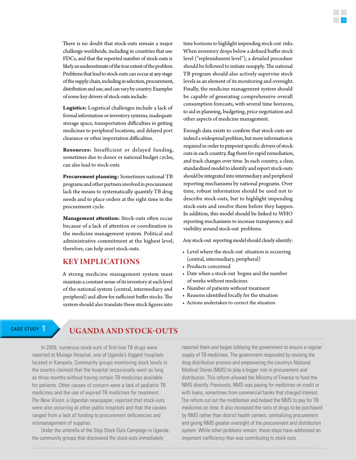There is no doubt that stock-outs remain a major challenge worldwide, including in countries that use FDCs, and that the reported number of stock-outs is likely an underestimate of the true extent of the problem. Problems that lead to stock-outs can occur at any stage of the supply chain, including in selection, procurement, distribution and use, and can vary by country. Examples of some key drivers of stock-outs include:

**Logistics:** Logistical challenges include a lack of formal information or inventory systems, inadequate storage space, transportation difficulties in getting medicines to peripheral locations, and delayed port clearance or other importation difficulties.

**Resources:** Insufficient or delayed funding, sometimes due to donor or national budget cycles, can also lead to stock-outs.

**Procurement planning:** Sometimes national TB programs and other partners involved in procurement lack the means to systematically quantify TB drug needs and to place orders at the right time in the procurement cycle.

**Management attention:** Stock-outs often occur because of a lack of attention or coordination in the medicine management system. Political and administrative commitment at the highest level, therefore, can help avert stock-outs.

#### **Key Implications**

A strong medicine management system must maintain a constant sense of its inventory at each level of the national system (central, intermediary and peripheral) and allow for sufficient buffer stocks. The system should also translate these stock figures into

time horizons to highlight impending stock-out risks. When inventory drops below a defined buffer stock level ("replenishment level"), a detailed procedure should be followed to initiate resupply. The national TB program should also actively supervise stock levels as an element of its monitoring and oversight. Finally, the medicine management system should be capable of generating comprehensive overall consumption forecasts, with several time horizons, to aid in planning, budgeting, price negotiation and other aspects of medicine management.

Enough data exists to confirm that stock-outs are indeed a widespread problem, but more information is required in order to pinpoint specific drivers of stockouts in each country, flag them for rapid remediation, and track changes over time. In each country, a clear, standardized model to identify and report stock-outs should be integrated into intermediary and peripheral reporting mechanisms by national programs. Over time, robust information should be used not to describe stock-outs, but to highlight impending stock-outs and resolve them before they happen. In addition, this model should be linked to WHO reporting mechanisms to increase transparency and visibility around stock-out problems.

Any stock-out reporting model should clearly identify:

- Level where the stock-out situation is occurring (central, intermediary, peripheral)
- Products concerned
- Date when a stock-out begins and the number of weeks without medicines
- Number of patients without treatment
- Reasons identified locally for the situation
- Actions undertaken to correct the situation

### CASE STUDY **1 Uganda and Stock-outs**

In 2009, numerous stock-outs of first-line TB drugs were reported at Mulago Hospital, one of Uganda's biggest hospitals located in Kampala. Community groups monitoring stock levels in the country claimed that the hospital occasionally went as long as three months without having certain TB medicines available for patients. Other causes of concern were a lack of pediatric TB medicines and the use of expired TB medicines for treatment. *The New Vision,* a Ugandan newspaper, reported that stock-outs were also occurring at other public hospitals and that the causes ranged from a lack of funding to procurement deficiencies and mismanagement of supplies.

Under the umbrella of the Stop Stock-Outs Campaign in Uganda, the community groups that discovered the stock-outs immediately

reported them and began lobbying the government to ensure a regular supply of TB medicines. The government responded by revising the drug distribution process and empowering the country's National Medical Stores (NMS) to play a bigger role in procurement and distribution. This reform allowed the Ministry of Finance to fund the NMS directly. Previously, NMS was paying for medicines on credit or with loans, sometimes from commercial banks that charged interest. The reform cut out the middleman and helped the NMS to pay for TB medicines on time. It also increased the ratio of drugs to be purchased by NMS rather than district health centers, centralizing procurement and giving NMS greater oversight of the procurement and distribution system. While other problems remain, these steps have addressed an important inefficiency that was contributing to stock-outs.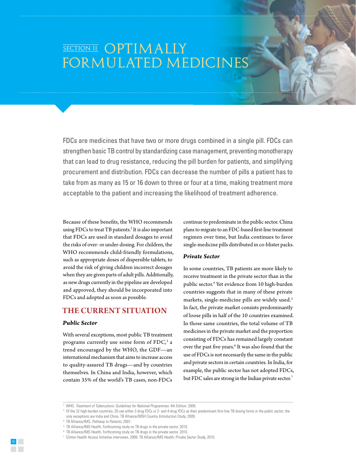## SECTION II OPTIMALLY FORMULATED MEDICINES

FDCs are medicines that have two or more drugs combined in a single pill. FDCs can strengthen basic TB control by standardizing case management, preventing monotherapy that can lead to drug resistance, reducing the pill burden for patients, and simplifying procurement and distribution. FDCs can decrease the number of pills a patient has to take from as many as 15 or 16 down to three or four at a time, making treatment more acceptable to the patient and increasing the likelihood of treatment adherence.

Because of these benefits, the WHO recommends using FDCs to treat TB patients.2 It is also important that FDCs are used in standard dosages to avoid the risks of over- or under-dosing. For children, the WHO recommends child-friendly formulations, such as appropriate doses of dispersible tablets, to avoid the risk of giving children incorrect dosages when they are given parts of adult pills. Additionally, as new drugs currently in the pipeline are developed and approved, they should be incorporated into FDCs and adopted as soon as possible.

#### **The Current Situation**

#### *Public Sector*

With several exceptions, most public TB treatment programs currently use some form of  $\rm FDC,^3$  a trend encouraged by the WHO, the GDF—an international mechanism that aims to increase access to quality-assured TB drugs—and by countries themselves. In China and India, however, which contain 35% of the world's TB cases, non-FDCs

continue to predominate in the public sector. China plans to migrate to an FDC-based first-line treatment regimen over time, but India continues to favor single-medicine pills distributed in co-blister packs.

#### *Private Sector*

In some countries, TB patients are more likely to receive treatment in the private sector than in the public sector.4 Yet evidence from 10 high-burden countries suggests that in many of these private markets, single-medicine pills are widely used.<sup>5</sup> In fact, the private market consists predominantly of loose pills in half of the 10 countries examined. In those same countries, the total volume of TB medicines in the private market and the proportion consisting of FDCs has remained largely constant over the past five years.<sup>6</sup> It was also found that the use of FDCs is not necessarily the same in the public and private sectors in certain countries. In India, for example, the public sector has not adopted FDCs, but FDC sales are strong in the Indian private sector.<sup>7</sup>



<sup>&</sup>lt;sup>2</sup> WHO. *Treatment of Tuberculosis: Guidelines for National Programmes.* 4th Edition. 2009.<br><sup>3</sup> Of the 22 bigh-burden countries. 20 use either 2-drug EDCs or 2- and 4-drug EDCs as their

<sup>&</sup>lt;sup>3</sup> Of the 22 high-burden countries, 20 use either 2-drug FDCs or 2- and 4-drug FDCs as their predominant first-line TB dosing forms in the public sector; the only exceptions are India and China. TB Alliance/MSH Country Introduction Study, 2009.

<sup>4</sup> TB Alliance/IMS, *Pathway to Patients,* 2007.

<sup>5</sup> TB Alliance/IMS Health, Forthcoming study on TB drugs in the private sector. 2010.

<sup>6</sup> TB Alliance/IMS Health, Forthcoming study on TB drugs in the private sector. 2010.

<sup>7</sup> Clinton Health Access Initiative interviews, 2009. TB Alliance/IMS Health, Private Sector Study, 2010.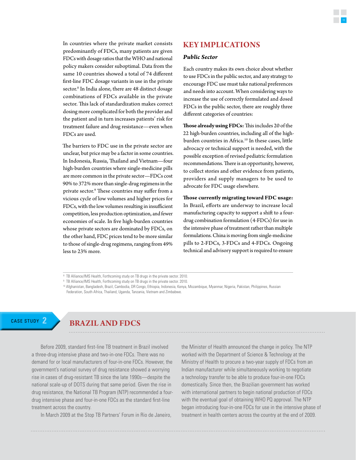In countries where the private market consists predominantly of FDCs, many patients are given FDCs with dosage ratios that the WHO and national policy makers consider suboptimal. Data from the same 10 countries showed a total of 74 different first-line FDC dosage variants in use in the private sector.<sup>8</sup> In India alone, there are 48 distinct dosage combinations of FDCs available in the private sector. This lack of standardization makes correct dosing more complicated for both the provider and the patient and in turn increases patients' risk for treatment failure and drug resistance—even when FDCs are used.

The barriers to FDC use in the private sector are unclear, but price may be a factor in some countries. In Indonesia, Russia, Thailand and Vietnam—four high-burden countries where single-medicine pills are more common in the private sector—FDCs cost 90% to 372% more than single-drug regimens in the private sector.9 These countries may suffer from a vicious cycle of low volumes and higher prices for FDCs, with the low volumes resulting in insufficient competition, less production optimization, and fewer economies of scale. In five high-burden countries whose private sectors are dominated by FDCs, on the other hand, FDC prices tend to be more similar to those of single-drug regimens, ranging from 49% less to 23% more.

#### **Key Implications**

#### *Public Sector*

Each country makes its own choice about whether to use FDCs in the public sector, and any strategy to encourage FDC use must take national preferences and needs into account. When considering ways to increase the use of correctly formulated and dosed FDCs in the public sector, there are roughly three different categories of countries:

**Those already using FDCs:** This includes 20 of the 22 high-burden countries, including all of the highburden countries in Africa.<sup>10</sup> In these cases, little advocacy or technical support is needed, with the possible exception of revised pediatric formulation recommendations. There is an opportunity, however, to collect stories and other evidence from patients, providers and supply managers to be used to advocate for FDC usage elsewhere.

**Those currently migrating toward FDC usage:**  In Brazil, efforts are underway to increase local manufacturing capacity to support a shift to a fourdrug combination formulation (4-FDCs) for use in the intensive phase of treatment rather than multiple formulations. China is moving from single-medicine pills to 2-FDCs, 3-FDCs and 4-FDCs. Ongoing technical and advisory support is required to ensure

### CASE STUDY **2 Brazil and FDCs**

Before 2009, standard first-line TB treatment in Brazil involved a three-drug intensive phase and two-in-one FDCs. There was no demand for or local manufacturers of four-in-one FDCs. However, the government's national survey of drug resistance showed a worrying rise in cases of drug-resistant TB since the late 1990s—despite the national scale-up of DOTS during that same period. Given the rise in drug resistance, the National TB Program (NTP) recommended a fourdrug intensive phase and four-in-one FDCs as the standard first-line treatment across the country.

In March 2009 at the Stop TB Partners' Forum in Rio de Janeiro,

the Minister of Health announced the change in policy. The NTP worked with the Department of Science & Technology at the Ministry of Health to procure a two-year supply of FDCs from an Indian manufacturer while simultaneously working to negotiate a technology transfer to be able to produce four-in-one FDCs domestically. Since then, the Brazilian government has worked with international partners to begin national production of FDCs with the eventual goal of obtaining WHO PQ approval. The NTP began introducing four-in-one FDCs for use in the intensive phase of treatment in health centers across the country at the end of 2009.

<sup>&</sup>lt;sup>8</sup> TB Alliance/IMS Health, Forthcoming study on TB drugs in the private sector. 2010.

<sup>9</sup> TB Alliance/IMS Health, Forthcoming study on TB drugs in the private sector. 2010.

<sup>&</sup>lt;sup>10</sup> Afghanistan, Bangladesh, Brazil, Cambodia, DR Congo, Ethiopia, Indonesia, Kenya, Mozambique, Myanmar, Nigeria, Pakistan, Philippines, Russian Federation, South Africa, Thailand, Uganda, Tanzania, Vietnam and Zimbabwe.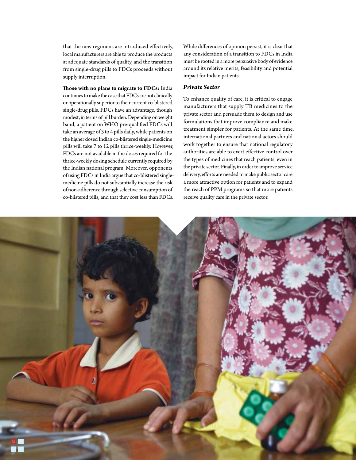that the new regimens are introduced effectively, local manufacturers are able to produce the products at adequate standards of quality, and the transition from single-drug pills to FDCs proceeds without supply interruption.

**Those with no plans to migrate to FDCs:** India continues to make the case that FDCs are not clinically or operationally superior to their current co-blistered, single-drug pills. FDCs have an advantage, though modest, in terms of pill burden. Depending on weight band, a patient on WHO pre-qualified FDCs will take an average of 3 to 4 pills daily, while patients on the higher dosed Indian co-blistered single-medicine pills will take 7 to 12 pills thrice-weekly. However, FDCs are not available in the doses required for the thrice-weekly dosing schedule currently required by the Indian national program. Moreover, opponents of using FDCs in India argue that co-blistered singlemedicine pills do not substantially increase the risk of non-adherence through selective consumption of co-blistered pills, and that they cost less than FDCs.

While differences of opinion persist, it is clear that any consideration of a transition to FDCs in India must be rooted in a more persuasive body of evidence around its relative merits, feasibility and potential impact for Indian patients.

#### *Private Sector*

To enhance quality of care, it is critical to engage manufacturers that supply TB medicines to the private sector and persuade them to design and use formulations that improve compliance and make treatment simpler for patients. At the same time, international partners and national actors should work together to ensure that national regulatory authorities are able to exert effective control over the types of medicines that reach patients, even in the private sector. Finally, in order to improve service delivery, efforts are needed to make public sector care a more attractive option for patients and to expand the reach of PPM programs so that more patients receive quality care in the private sector.

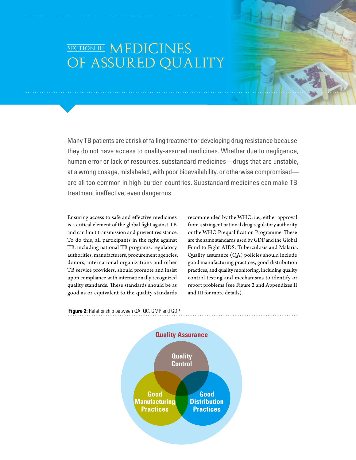## SECTION III MEDICINES OF ASSURED QUALITY

Many TB patients are at risk of failing treatment or developing drug resistance because they do not have access to quality-assured medicines. Whether due to negligence, human error or lack of resources, substandard medicines—drugs that are unstable, at a wrong dosage, mislabeled, with poor bioavailability, or otherwise compromised are all too common in high-burden countries. Substandard medicines can make TB treatment ineffective, even dangerous.

Ensuring access to safe and effective medicines is a critical element of the global fight against TB and can limit transmission and prevent resistance. To do this, all participants in the fight against TB, including national TB programs, regulatory authorities, manufacturers, procurement agencies, donors, international organizations and other TB service providers, should promote and insist upon compliance with internationally recognized quality standards. These standards should be as good as or equivalent to the quality standards

recommended by the WHO, i.e., either approval from a stringent national drug regulatory authority or the WHO Prequalification Programme. These are the same standards used by GDF and the Global Fund to Fight AIDS, Tuberculosis and Malaria. Quality assurance (QA) policies should include good manufacturing practices, good distribution practices, and quality monitoring, including quality control testing and mechanisms to identify or report problems (see Figure 2 and Appendixes II and III for more details).



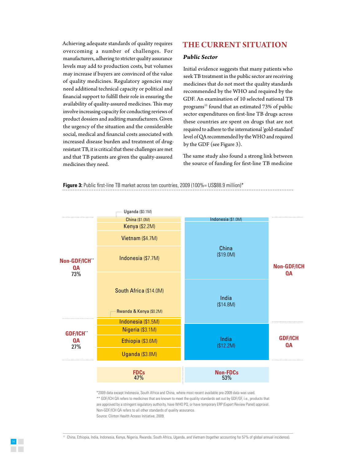Achieving adequate standards of quality requires overcoming a number of challenges. For manufacturers, adhering to stricter quality assurance levels may add to production costs, but volumes may increase if buyers are convinced of the value of quality medicines. Regulatory agencies may need additional technical capacity or political and financial support to fulfill their role in ensuring the availability of quality-assured medicines. This may involve increasing capacity for conducting reviews of product dossiers and auditing manufacturers. Given the urgency of the situation and the considerable social, medical and financial costs associated with increased disease burden and treatment of drugresistant TB, it is critical that these challenges are met and that TB patients are given the quality-assured medicines they need.

#### **The Current Situation**

#### *Public Sector*

Initial evidence suggests that many patients who seek TB treatment in the public sector are receiving medicines that do not meet the quality standards recommended by the WHO and required by the GDF. An examination of 10 selected national TB programs<sup>11</sup> found that an estimated 73% of public sector expenditures on first-line TB drugs across these countries are spent on drugs that are not required to adhere to the international 'gold-standard' level of QA recommended by the WHO and required by the GDF (see Figure 3).

The same study also found a strong link between the source of funding for first-line TB medicine

**Figure 3:** Public first-line TB market across ten countries, 2009 (100%= US\$88.9 million)\*



\*2009 data except Indonesia, South Africa and China, where most recent available pre-2009 data was used. \*\* GDF/ICH QA refers to medicines that are known to meet the quality standards set out by GDF/GF, i.e., products that are approved by a stringent regulatory authority, have WHO PQ, or have temporary ERP (Expert Review Panel) approval. Non-GDF/ICH QA refers to all other standards of quality assurance. Source: Clinton Health Access Initiative, 2009.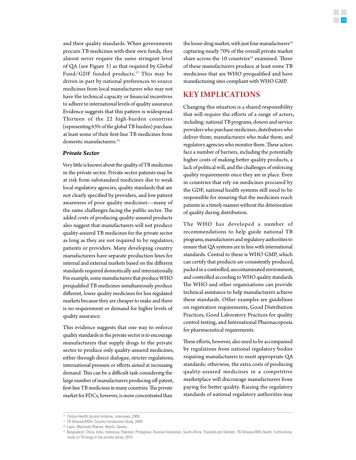and their quality standards. When governments procure TB medicines with their own funds, they almost never require the same stringent level of QA (see Figure 3) as that required by Global Fund/GDF funded products.<sup>12</sup> This may be driven in part by national preferences to source medicines from local manufacturers who may not have the technical capacity or financial incentives to adhere to international levels of quality assurance. Evidence suggests that this pattern is widespread. Thirteen of the 22 high-burden countries (representing 63% of the global TB burden) purchase at least some of their first-line TB medicines from domestic manufacturers.<sup>13</sup>

#### *Private Sector*

Very little is known about the quality of TB medicines in the private sector. Private sector patients may be at risk from substandard medicines due to weak local regulatory agencies, quality standards that are not clearly specified by providers, and low patient awareness of poor quality medicines—many of the same challenges facing the public sector. The added costs of producing quality-assured products also suggest that manufacturers will not produce quality-assured TB medicines for the private sector as long as they are not required to by regulators, patients or providers. Many developing country manufacturers have separate production lines for internal and external markets based on the different standards required domestically and internationally. For example, some manufacturers that produce WHO prequalified TB medicines simultaneously produce different, lower quality medicines for less regulated markets because they are cheaper to make and there is no requirement or demand for higher levels of quality assurance.

This evidence suggests that one way to enforce quality standards in the private sector is to encourage manufacturers that supply drugs to the private sector to produce only quality-assured medicines, either through direct dialogue, stricter regulations, international pressure or efforts aimed at increasing demand. This can be a difficult task considering the large number of manufacturers producing off-patent, first-line TB medicines in many countries. The private market for FDCs, however, is more concentrated than

the loose-drug market, with just four manufacturers<sup>14</sup> capturing nearly 70% of the overall private market share across the 10 countries<sup>15</sup> examined. Three of these manufacturers produce at least some TB medicines that are WHO prequalified and have manufacturing sites compliant with WHO GMP.

#### **Key Implications**

Changing this situation is a shared responsibility that will require the efforts of a range of actors, including: national TB programs, donors and service providers who purchase medicines; distributors who deliver them; manufacturers who make them; and regulatory agencies who monitor them. These actors face a number of barriers, including the potentially higher costs of making better quality products, a lack of political will, and the challenges of enforcing quality requirements once they are in place. Even in countries that rely on medicines procured by the GDF, national health systems still need to be responsible for ensuring that the medicines reach patients in a timely manner without the deterioration of quality during distribution.

The WHO has developed a number of recommendations to help guide national TB programs, manufacturers and regulatory authorities to ensure that QA systems are in line with international standards. Central to these is WHO GMP, which can certify that products are consistently produced, packed in a controlled, uncontaminated environment, and controlled according to WHO quality standards. The WHO and other organizations can provide technical assistance to help manufacturers achieve these standards. Other examples are guidelines on registration requirements, Good Distribution Practices, Good Laboratory Practices for quality control testing, and International Pharmacopoeia for pharmaceutical requirements.

These efforts, however, also need to be accompanied by regulations from national regulatory bodies requiring manufacturers to meet appropriate QA standards; otherwise, the extra costs of producing quality-assured medicines in a competitive marketplace will discourage manufacturers from paying for better quality. Raising the regulatory standards of national regulatory authorities may

13 TB Alliance/MSH, Country Introduction Study, 2009.

<sup>12</sup> Clinton Health Access Initiative, interviews, 2009.

<sup>14</sup> Lupin, Macleods Pharma, Wyeth, Sandoz.

<sup>&</sup>lt;sup>15</sup> Bangladesh, China, India, Indonesia, Pakistan, Philippines, Russian Federation, South Africa, Thailand and Vietnam. TB Alliance/IMS Health, Forthcoming study on TB drugs in the private sector, 2010.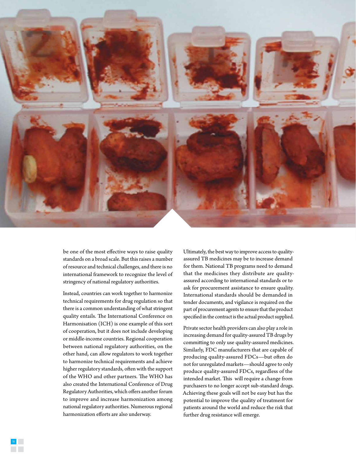

be one of the most effective ways to raise quality standards on a broad scale. But this raises a number of resource and technical challenges, and there is no international framework to recognize the level of stringency of national regulatory authorities.

Instead, countries can work together to harmonize technical requirements for drug regulation so that there is a common understanding of what stringent quality entails. The International Conference on Harmonisation (ICH) is one example of this sort of cooperation, but it does not include developing or middle-income countries. Regional cooperation between national regulatory authorities, on the other hand, can allow regulators to work together to harmonize technical requirements and achieve higher regulatory standards, often with the support of the WHO and other partners. The WHO has also created the International Conference of Drug Regulatory Authorities, which offers another forum to improve and increase harmonization among national regulatory authorities. Numerous regional harmonization efforts are also underway.

Ultimately, the best way to improve access to qualityassured TB medicines may be to increase demand for them. National TB programs need to demand that the medicines they distribute are qualityassured according to international standards or to ask for procurement assistance to ensure quality. International standards should be demanded in tender documents, and vigilance is required on the part of procurement agents to ensure that the product specified in the contract is the actual product supplied.

Private sector health providers can also play a role in increasing demand for quality-assured TB drugs by committing to only use quality-assured medicines. Similarly, FDC manufacturers that are capable of producing quality-assured FDCs—but often do not for unregulated markets—should agree to only produce quality-assured FDCs, regardless of the intended market. This will require a change from purchasers to no longer accept sub-standard drugs. Achieving these goals will not be easy but has the potential to improve the quality of treatment for patients around the world and reduce the risk that further drug resistance will emerge.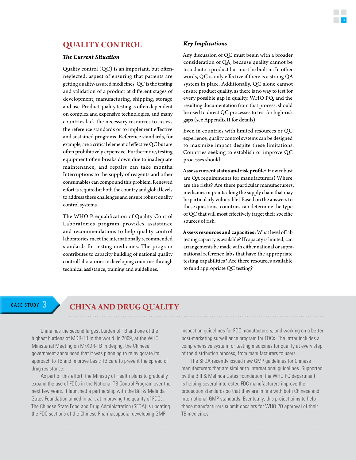#### **Quality Control**

#### *The Current Situation*

Quality control  $(QC)$  is an important, but oftenneglected, aspect of ensuring that patients are getting quality-assured medicines. QC is the testing and validation of a product at different stages of development, manufacturing, shipping, storage and use. Product quality testing is often dependent on complex and expensive technologies, and many countries lack the necessary resources to access the reference standards or to implement effective and sustained programs. Reference standards, for example, are a critical element of effective QC but are often prohibitively expensive. Furthermore, testing equipment often breaks down due to inadequate maintenance, and repairs can take months. Interruptions to the supply of reagents and other consumables can compound this problem. Renewed effort is required at both the country and global levels to address these challenges and ensure robust quality control systems.

The WHO Prequalification of Quality Control Laboratories program provides assistance and recommendations to help quality control laboratories meet the internationally recommended standards for testing medicines. The program contributes to capacity building of national quality control laboratories in developing countries through technical assistance, training and guidelines.

#### *Key Implications*

Any discussion of QC must begin with a broader consideration of QA, because quality cannot be tested into a product but must be built in. In other words, QC is only effective if there is a strong QA system in place. Additionally, QC alone cannot ensure product quality, as there is no way to test for every possible gap in quality. WHO PQ, and the resulting documentation from that process, should be used to direct QC processes to test for high-risk gaps (see Appendix II for details).

Even in countries with limited resources or QC experience, quality control systems can be designed to maximize impact despite these limitations. Countries seeking to establish or improve QC processes should:

**Assess current status and risk profile:** How robust are QA requirements for manufacturers? Where are the risks? Are there particular manufacturers, medicines or points along the supply chain that may be particularly vulnerable? Based on the answers to these questions, countries can determine the type of QC that will most effectively target their specific sources of risk.

**Assess resources and capacities:** What level of lab testing capacity is available? If capacity is limited, can arrangements be made with either national or supranational reference labs that have the appropriate testing capabilities? Are there resources available to fund appropriate QC testing?

### CASE STUDY **3 China and Drug Quality**

China has the second largest burden of TB and one of the highest burdens of MDR-TB in the world. In 2009, at the WHO Ministerial Meeting on M/XDR-TB in Beijing, the Chinese government announced that it was planning to reinvigorate its approach to TB and improve basic TB care to prevent the spread of drug resistance.

As part of this effort, the Ministry of Health plans to gradually expand the use of FDCs in the National TB Control Program over the next few years. It launched a partnership with the Bill & Melinda Gates Foundation aimed in part at improving the quality of FDCs. The Chinese State Food and Drug Administration (SFDA) is updating the FDC sections of the Chinese Pharmacopoeia, developing GMP

inspection guidelines for FDC manufacturers, and working on a better post-marketing surveillance program for FDCs. The latter includes a comprehensive system for testing medicines for quality at every step of the distribution process, from manufacturers to users.

The SFDA recently issued new GMP guidelines for Chinese manufacturers that are similar to international guidelines. Supported by the Bill & Melinda Gates Foundation, the WHO PQ department is helping several interested FDC manufacturers improve their production standards so that they are in line with both Chinese and international GMP standards. Eventually, this project aims to help these manufacturers submit dossiers for WHO PQ approval of their TB medicines.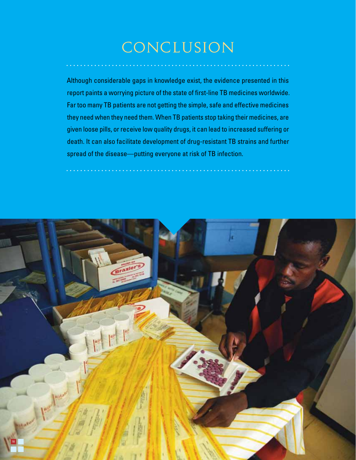## conclusion

. . . . . . . . . . . . . . . .

Although considerable gaps in knowledge exist, the evidence presented in this report paints a worrying picture of the state of first-line TB medicines worldwide. Far too many TB patients are not getting the simple, safe and effective medicines they need when they need them. When TB patients stop taking their medicines, are given loose pills, or receive low quality drugs, it can lead to increased suffering or death. It can also facilitate development of drug-resistant TB strains and further spread of the disease—putting everyone at risk of TB infection.

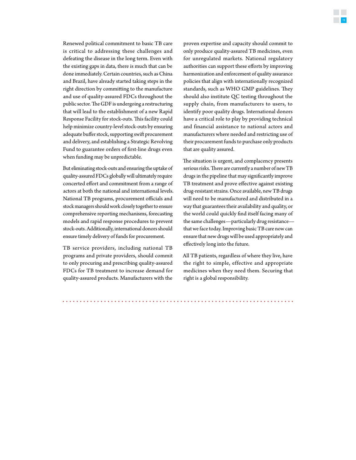Renewed political commitment to basic TB care is critical to addressing these challenges and defeating the disease in the long term. Even with the existing gaps in data, there is much that can be done immediately. Certain countries, such as China and Brazil, have already started taking steps in the right direction by committing to the manufacture and use of quality-assured FDCs throughout the public sector. The GDF is undergoing a restructuring that will lead to the establishment of a new Rapid Response Facility for stock-outs. This facility could help minimize country-level stock-outs by ensuring adequate buffer stock, supporting swift procurement and delivery, and establishing a Strategic Revolving Fund to guarantee orders of first-line drugs even when funding may be unpredictable.

But eliminating stock-outs and ensuring the uptake of quality-assured FDCs globally will ultimately require concerted effort and commitment from a range of actors at both the national and international levels. National TB programs, procurement officials and stock managers should work closely together to ensure comprehensive reporting mechanisms, forecasting models and rapid response procedures to prevent stock-outs. Additionally, international donors should ensure timely delivery of funds for procurement.

TB service providers, including national TB programs and private providers, should commit to only procuring and prescribing quality-assured FDCs for TB treatment to increase demand for quality-assured products. Manufacturers with the

proven expertise and capacity should commit to only produce quality-assured TB medicines, even for unregulated markets. National regulatory authorities can support these efforts by improving harmonization and enforcement of quality assurance policies that align with internationally recognized standards, such as WHO GMP guidelines. They should also institute QC testing throughout the supply chain, from manufacturers to users, to identify poor quality drugs. International donors have a critical role to play by providing technical and financial assistance to national actors and manufacturers where needed and restricting use of their procurement funds to purchase only products that are quality assured.

The situation is urgent, and complacency presents serious risks. There are currently a number of new TB drugs in the pipeline that may significantly improve TB treatment and prove effective against existing drug-resistant strains. Once available, new TB drugs will need to be manufactured and distributed in a way that guarantees their availability and quality, or the world could quickly find itself facing many of the same challenges—particularly drug resistance that we face today. Improving basic TB care now can ensure that new drugs will be used appropriately and effectively long into the future.

All TB patients, regardless of where they live, have the right to simple, effective and appropriate medicines when they need them. Securing that right is a global responsibility.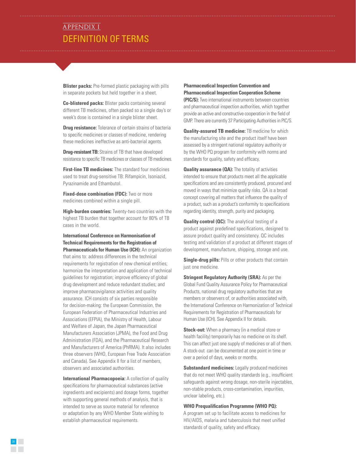### Definition of terms APPENDIX I

**Blister packs:** Pre-formed plastic packaging with pills in separate pockets but held together in a sheet.

**Co-blistered packs:** Blister packs containing several different TB medicines, often packed so a single day's or week's dose is contained in a single blister sheet.

**Drug resistance:** Tolerance of certain strains of bacteria to specific medicines or classes of medicine, rendering these medicines ineffective as anti-bacterial agents.

**Drug-resistant TB:** Strains of TB that have developed resistance to specific TB medicines or classes of TB medicines.

**First-line TB medicines:** The standard four medicines used to treat drug-sensitive TB: Rifampicin, Isoniazid, Pyrazinamide and Ethambutol.

**Fixed-dose combination (FDC):** Two or more medicines combined within a single pill.

**High-burden countries:** Twenty-two countries with the highest TB burden that together account for 80% of TB cases in the world.

**International Conference on Harmonisation of Technical Requirements for the Registration of Pharmaceuticals for Human Use (ICH):** An organization that aims to: address differences in the technical requirements for registration of new chemical entities; harmonize the interpretation and application of technical guidelines for registration; improve efficiency of global drug development and reduce redundant studies; and improve pharmacovigilance activities and quality assurance. ICH consists of six parties responsible for decision-making: the European Commission, the European Federation of Pharmaceutical Industries and Associations (EFPIA), the Ministry of Health, Labour and Welfare of Japan, the Japan Pharmaceutical

Manufacturers Association (JPMA), the Food and Drug Administration (FDA), and the Pharmaceutical Research and Manufacturers of America (PhRMA). It also includes three observers (WHO, European Free Trade Association and Canada). See Appendix II for a list of members, observers and associated authorities.

**International Pharmacopoeia:** A collection of quality specifications for pharmaceutical substances (active ingredients and excipients) and dosage forms, together with supporting general methods of analysis, that is intended to serve as source material for reference or adaptation by any WHO Member State wishing to establish pharmaceutical requirements.

20

**Pharmaceutical Inspection Convention and Pharmaceutical Inspection Cooperation Scheme** 

**(PIC/S):** Two international instruments between countries and pharmaceutical inspection authorities, which together provide an active and constructive cooperation in the field of GMP. There are currently 37 Participating Authorities in PIC/S.

**Quality-assured TB medicine:** TB medicine for which the manufacturing site and the product itself have been assessed by a stringent national regulatory authority or by the WHO PQ program for conformity with norms and standards for quality, safety and efficacy.

**Quality assurance (QA):** The totality of activities intended to ensure that products meet all the applicable specifications and are consistently produced, procured and moved in ways that minimize quality risks. QA is a broad concept covering all matters that influence the quality of a product, such as a product's conformity to specifications regarding identity, strength, purity and packaging.

**Quality control (QC):** The analytical testing of a product against predefined specifications, designed to assure product quality and consistency. QC includes testing and validation of a product at different stages of development, manufacture, shipping, storage and use.

**Single-drug pills:** Pills or other products that contain just one medicine.

**Stringent Regulatory Authority (SRA):** As per the Global Fund Quality Assurance Policy for Pharmaceutical Products, national drug regulatory authorities that are members or observers of, or authorities associated with, the International Conference on Harmonization of Technical Requirements for Registration of Pharmaceuticals for Human Use (ICH). See Appendix II for details.

**Stock-out:** When a pharmacy (in a medical store or health facility) temporarily has no medicine on its shelf. This can affect just one supply of medicines or all of them. A stock-out can be documented at one point in time or over a period of days, weeks or months.

**Substandard medicines:** Legally produced medicines that do not meet WHO quality standards (e.g., insufficient safeguards against wrong dosage, non-sterile injectables, non-stable products, cross-contamination, impurities, unclear labeling, etc.).

#### **WHO Prequalification Programme (WHO PQ):**

A program set up to facilitate access to medicines for HIV/AIDS, malaria and tuberculosis that meet unified standards of quality, safety and efficacy.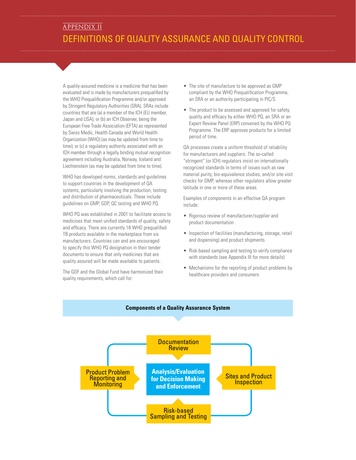### Definitions of Quality Assurance and Quality Control APPENDIX II

A quality-assured medicine is a medicine that has been evaluated and is made by manufacturers prequalified by the WHO Prequalification Programme and/or approved by Stringent Regulatory Authorities (SRA). SRAs include countries that are (a) a member of the ICH (EU member, Japan and USA); or (b) an ICH Observer, being the European Free Trade Association (EFTA) as represented by Swiss Medic, Health Canada and World Health Organization (WHO) (as may be updated from time to time); or (c) a regulatory authority associated with an ICH member through a legally binding mutual recognition agreement including Australia, Norway, Iceland and Liechtenstein (as may be updated from time to time).

WHO has developed norms, standards and guidelines to support countries in the development of QA systems, particularly involving the production, testing and distribution of pharmaceuticals. These include guidelines on GMP, GDP, QC testing and WHO PQ.

WHO PQ was established in 2001 to facilitate access to medicines that meet unified standards of quality, safety and efficacy. There are currently 18 WHO prequalified TB products available in the marketplace from six manufacturers. Countries can and are encouraged to specify this WHO PQ designation in their tender documents to ensure that only medicines that are quality assured will be made available to patients.

The GDF and the Global Fund have harmonized their quality requirements, which call for:

- The site of manufacture to be approved as GMP compliant by the WHO Prequalification Programme, an SRA or an authority participating in PIC/S.
- The product to be assessed and approved for safety, quality and efficacy by either WHO PQ, an SRA or an Expert Review Panel (ERP) convened by the WHO PQ Programme. The ERP approves products for a limited period of time.

QA processes create a uniform threshold of reliability for manufacturers and suppliers. The so-called "stringent" (or ICH) regulators insist on internationally recognized standards in terms of issues such as raw material purity, bio-equivalence studies, and/or site visit checks for GMP, whereas other regulators allow greater latitude in one or more of these areas.

Examples of components in an effective QA program include:

- Rigorous review of manufacturer/supplier and product documentation
- Inspection of facilities (manufacturing, storage, retail and dispensing) and product shipments
- Risk-based sampling and testing to verify compliance with standards (see Appendix III for more details)
- Mechanisms for the reporting of product problems by healthcare providers and consumers

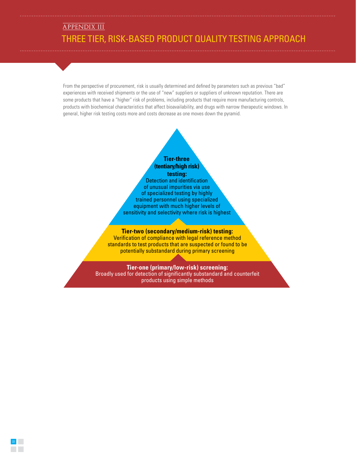### Three Tier, Risk-Based Product Quality Testing Approach APPENDIX III

From the perspective of procurement, risk is usually determined and defined by parameters such as previous "bad" experiences with received shipments or the use of "new" suppliers or suppliers of unknown reputation. There are some products that have a "higher" risk of problems, including products that require more manufacturing controls, products with biochemical characteristics that affect bioavailability, and drugs with narrow therapeutic windows. In general, higher risk testing costs more and costs decrease as one moves down the pyramid.

#### **Tier-three (tentiary/high risk) testing:**

Detection and identification of unusual impurities via use of specialized testing by highly trained personnel using specialized equipment with much higher levels of sensitivity and selectivity where risk is highest

#### **Tier-two (secondary/medium-risk) testing:**

Verification of compliance with legal reference method standards to test products that are suspected or found to be potentially substandard during primary screening

#### **Tier-one (primary/low-risk) screening:**

Broadly used for detection of significantly substandard and counterfeit products using simple methods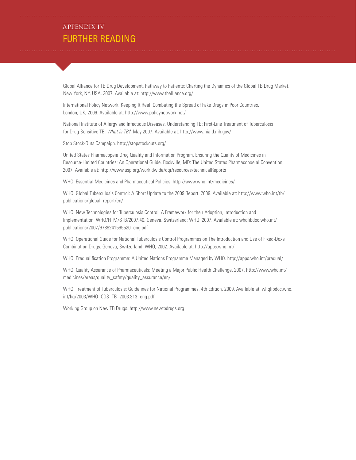### **FURTHER READING** APPENDIX IV

Global Alliance for TB Drug Development. Pathway to Patients: Charting the Dynamics of the Global TB Drug Market. New York, NY, USA, 2007. Available at: http://www.tballiance.org/

International Policy Network. Keeping It Real: Combating the Spread of Fake Drugs in Poor Countries. London, UK, 2009. Available at: http://www.policynetwork.net/

National Institute of Allergy and Infectious Diseases. Understanding TB: First-Line Treatment of Tuberculosis for Drug-Sensitive TB. *What is TB?,* May 2007. Available at: http://www.niaid.nih.gov/

Stop Stock-Outs Campaign. http://stopstockouts.org/

United States Pharmacopeia Drug Quality and Information Program. Ensuring the Quality of Medicines in Resource-Limited Countries: An Operational Guide. Rockville, MD: The United States Pharmacopoeial Convention, 2007. Available at: http://www.usp.org/workldwide/dqi/resources/technicalReports

WHO. Essential Medicines and Pharmaceutical Policies. http://www.who.int/medicines/

WHO. Global Tuberculosis Control: A Short Update to the 2009 Report. 2009. Available at: http://www.who.int/tb/ publications/global\_report/en/

WHO. New Technologies for Tuberculosis Control: A Framework for their Adoption, Introduction and Implementation. WHO/HTM/STB/2007.40. Geneva, Switzerland: WHO, 2007. Available at: whqlibdoc.who.int/ publications/2007/9789241595520\_eng.pdf

WHO. Operational Guide for National Tuberculosis Control Programmes on The Introduction and Use of Fixed-Doxe Combination Drugs. Geneva, Switzerland: WHO, 2002. Available at: http://apps.who.int/

WHO. Prequalification Programme: A United Nations Programme Managed by WHO. http://apps.who.int/prequal/

WHO. Quality Assurance of Pharmaceuticals: Meeting a Major Public Health Challenge. 2007. http://www.who.int/ medicines/areas/quality\_safety/quality\_assurance/en/

WHO. Treatment of Tuberculosis: Guidelines for National Programmes. 4th Edition. 2009. Available at: whqlibdoc.who. int/hq/2003/WHO\_CDS\_TB\_2003.313\_eng.pdf

Working Group on New TB Drugs. http://www.newtbdrugs.org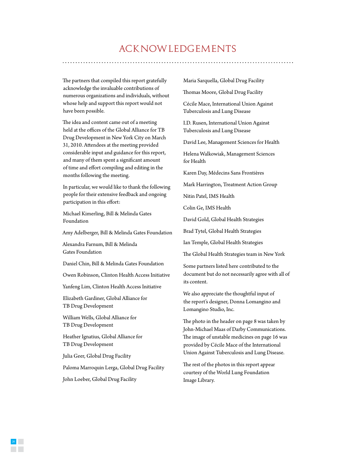### acknowledgements

The partners that compiled this report gratefully acknowledge the invaluable contributions of numerous organizations and individuals, without whose help and support this report would not have been possible.

The idea and content came out of a meeting held at the offices of the Global Alliance for TB Drug Development in New York City on March 31, 2010. Attendees at the meeting provided considerable input and guidance for this report, and many of them spent a significant amount of time and effort compiling and editing in the months following the meeting.

In particular, we would like to thank the following people for their extensive feedback and ongoing participation in this effort:

Michael Kimerling, Bill & Melinda Gates Foundation

Amy Adelberger, Bill & Melinda Gates Foundation

Alexandra Farnum, Bill & Melinda Gates Foundation

Daniel Chin, Bill & Melinda Gates Foundation

Owen Robinson, Clinton Health Access Initiative

Yanfeng Lim, Clinton Health Access Initiative

Elizabeth Gardiner, Global Alliance for TB Drug Development

William Wells, Global Alliance for TB Drug Development

Heather Ignatius, Global Alliance for TB Drug Development

Julia Geer, Global Drug Facility

Paloma Marroquin Lerga, Global Drug Facility

John Loeber, Global Drug Facility

24

Maria Sarquella, Global Drug Facility

Thomas Moore, Global Drug Facility

Cécile Mace, International Union Against Tuberculosis and Lung Disease

I.D. Rusen, International Union Against Tuberculosis and Lung Disease

David Lee, Management Sciences for Health

Helena Walkowiak, Management Sciences for Health

Karen Day, Médecins Sans Frontières

Mark Harrington, Treatment Action Group

Nitin Patel, IMS Health

Colin Ge, IMS Health

David Gold, Global Health Strategies

Brad Tytel, Global Health Strategies

Ian Temple, Global Health Strategies

The Global Health Strategies team in New York

Some partners listed here contributed to the document but do not necessarily agree with all of its content.

We also appreciate the thoughtful input of the report's designer, Donna Lomangino and Lomangino Studio, Inc.

The photo in the header on page 8 was taken by John-Michael Maas of Darby Communications. The image of unstable medicines on page 16 was provided by Cécile Mace of the International Union Against Tuberculosis and Lung Disease.

The rest of the photos in this report appear courtesy of the World Lung Foundation Image Library.